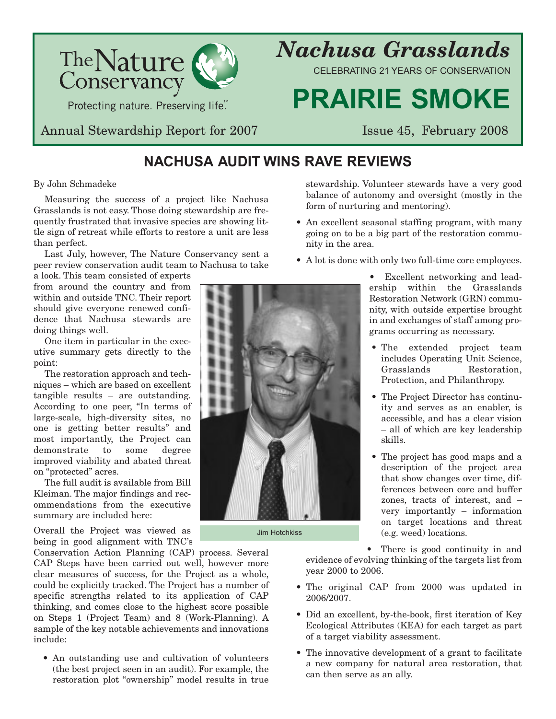

Protecting nature. Preserving life™

Annual Stewardship Report for 2007 Issue 45, February 2008

# *Nachusa Grasslands*

CELEBRATING 21 YEARS OF CONSERVATION

# **PRAIRIE SMOKE**

## **NACHUSA AUDIT WINS RAVE REVIEWS**

By John Schmadeke

Measuring the success of a project like Nachusa Grasslands is not easy. Those doing stewardship are frequently frustrated that invasive species are showing little sign of retreat while efforts to restore a unit are less than perfect.

Last July, however, The Nature Conservancy sent a peer review conservation audit team to Nachusa to take

a look. This team consisted of experts from around the country and from within and outside TNC. Their report should give everyone renewed confidence that Nachusa stewards are doing things well.

One item in particular in the executive summary gets directly to the point:

The restoration approach and techniques – which are based on excellent tangible results – are outstanding. According to one peer, "In terms of large-scale, high-diversity sites, no one is getting better results" and most importantly, the Project can demonstrate to some degree improved viability and abated threat on "protected" acres.

The full audit is available from Bill Kleiman. The major findings and recommendations from the executive summary are included here:

Overall the Project was viewed as being in good alignment with TNC's

Conservation Action Planning (CAP) process. Several CAP Steps have been carried out well, however more clear measures of success, for the Project as a whole, could be explicitly tracked. The Project has a number of specific strengths related to its application of CAP thinking, and comes close to the highest score possible on Steps 1 (Project Team) and 8 (Work-Planning). A sample of the key notable achievements and innovations include:

• An outstanding use and cultivation of volunteers (the best project seen in an audit). For example, the restoration plot "ownership" model results in true stewardship. Volunteer stewards have a very good balance of autonomy and oversight (mostly in the form of nurturing and mentoring).

- An excellent seasonal staffing program, with many going on to be a big part of the restoration community in the area.
- A lot is done with only two full-time core employees.
- 

Jim Hotchkiss

• Excellent networking and leadership within the Grasslands Restoration Network (GRN) community, with outside expertise brought in and exchanges of staff among programs occurring as necessary.

- The extended project team includes Operating Unit Science, Grasslands Restoration, Protection, and Philanthropy.
- The Project Director has continuity and serves as an enabler, is accessible, and has a clear vision – all of which are key leadership skills.
- The project has good maps and a description of the project area that show changes over time, differences between core and buffer zones, tracts of interest, and – very importantly – information on target locations and threat (e.g. weed) locations.

• There is good continuity in and evidence of evolving thinking of the targets list from year 2000 to 2006.

- The original CAP from 2000 was updated in 2006/2007.
- Did an excellent, by-the-book, first iteration of Key Ecological Attributes (KEA) for each target as part of a target viability assessment.
- The innovative development of a grant to facilitate a new company for natural area restoration, that can then serve as an ally.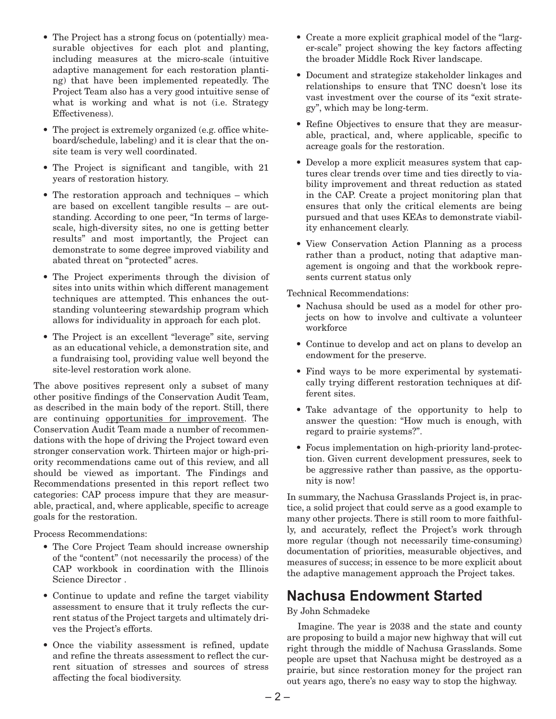- The Project has a strong focus on (potentially) measurable objectives for each plot and planting, including measures at the micro-scale (intuitive adaptive management for each restoration planting) that have been implemented repeatedly. The Project Team also has a very good intuitive sense of what is working and what is not (i.e. Strategy Effectiveness).
- The project is extremely organized (e.g. office whiteboard/schedule, labeling) and it is clear that the onsite team is very well coordinated.
- The Project is significant and tangible, with 21 years of restoration history.
- The restoration approach and techniques which are based on excellent tangible results – are outstanding. According to one peer, "In terms of largescale, high-diversity sites, no one is getting better results" and most importantly, the Project can demonstrate to some degree improved viability and abated threat on "protected" acres.
- The Project experiments through the division of sites into units within which different management techniques are attempted. This enhances the outstanding volunteering stewardship program which allows for individuality in approach for each plot.
- The Project is an excellent "leverage" site, serving as an educational vehicle, a demonstration site, and a fundraising tool, providing value well beyond the site-level restoration work alone.

The above positives represent only a subset of many other positive findings of the Conservation Audit Team, as described in the main body of the report. Still, there are continuing opportunities for improvement. The Conservation Audit Team made a number of recommendations with the hope of driving the Project toward even stronger conservation work. Thirteen major or high-priority recommendations came out of this review, and all should be viewed as important. The Findings and Recommendations presented in this report reflect two categories: CAP process impure that they are measurable, practical, and, where applicable, specific to acreage goals for the restoration.

Process Recommendations:

- The Core Project Team should increase ownership of the "content" (not necessarily the process) of the CAP workbook in coordination with the Illinois Science Director .
- Continue to update and refine the target viability assessment to ensure that it truly reflects the current status of the Project targets and ultimately drives the Project's efforts.
- Once the viability assessment is refined, update and refine the threats assessment to reflect the current situation of stresses and sources of stress affecting the focal biodiversity.
- Create a more explicit graphical model of the "larger-scale" project showing the key factors affecting the broader Middle Rock River landscape.
- Document and strategize stakeholder linkages and relationships to ensure that TNC doesn't lose its vast investment over the course of its "exit strategy", which may be long-term.
- Refine Objectives to ensure that they are measurable, practical, and, where applicable, specific to acreage goals for the restoration.
- Develop a more explicit measures system that captures clear trends over time and ties directly to viability improvement and threat reduction as stated in the CAP. Create a project monitoring plan that ensures that only the critical elements are being pursued and that uses KEAs to demonstrate viability enhancement clearly.
- View Conservation Action Planning as a process rather than a product, noting that adaptive management is ongoing and that the workbook represents current status only

Technical Recommendations:

- Nachusa should be used as a model for other projects on how to involve and cultivate a volunteer workforce
- Continue to develop and act on plans to develop an endowment for the preserve.
- Find ways to be more experimental by systematically trying different restoration techniques at different sites.
- Take advantage of the opportunity to help to answer the question: "How much is enough, with regard to prairie systems?".
- Focus implementation on high-priority land-protection. Given current development pressures, seek to be aggressive rather than passive, as the opportunity is now!

In summary, the Nachusa Grasslands Project is, in practice, a solid project that could serve as a good example to many other projects. There is still room to more faithfully, and accurately, reflect the Project's work through more regular (though not necessarily time-consuming) documentation of priorities, measurable objectives, and measures of success; in essence to be more explicit about the adaptive management approach the Project takes.

## **Nachusa Endowment Started**

#### By John Schmadeke

Imagine. The year is 2038 and the state and county are proposing to build a major new highway that will cut right through the middle of Nachusa Grasslands. Some people are upset that Nachusa might be destroyed as a prairie, but since restoration money for the project ran out years ago, there's no easy way to stop the highway.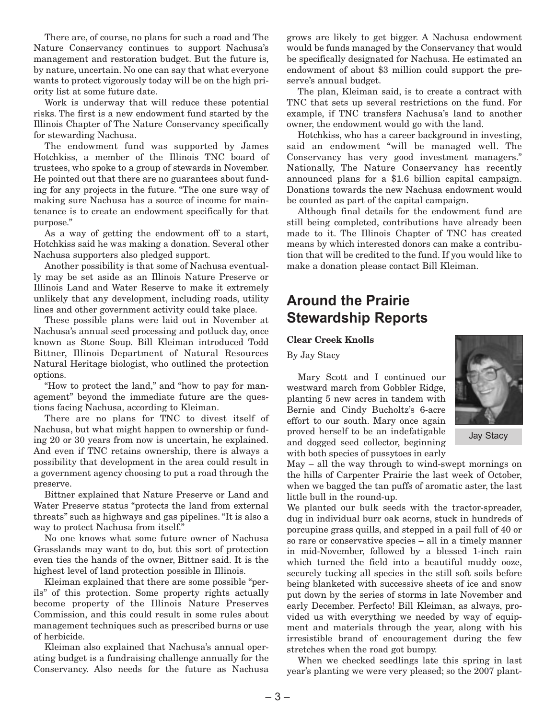There are, of course, no plans for such a road and The Nature Conservancy continues to support Nachusa's management and restoration budget. But the future is, by nature, uncertain. No one can say that what everyone wants to protect vigorously today will be on the high priority list at some future date.

Work is underway that will reduce these potential risks. The first is a new endowment fund started by the Illinois Chapter of The Nature Conservancy specifically for stewarding Nachusa.

The endowment fund was supported by James Hotchkiss, a member of the Illinois TNC board of trustees, who spoke to a group of stewards in November. He pointed out that there are no guarantees about funding for any projects in the future. "The one sure way of making sure Nachusa has a source of income for maintenance is to create an endowment specifically for that purpose."

As a way of getting the endowment off to a start, Hotchkiss said he was making a donation. Several other Nachusa supporters also pledged support.

Another possibility is that some of Nachusa eventually may be set aside as an Illinois Nature Preserve or Illinois Land and Water Reserve to make it extremely unlikely that any development, including roads, utility lines and other government activity could take place.

These possible plans were laid out in November at Nachusa's annual seed processing and potluck day, once known as Stone Soup. Bill Kleiman introduced Todd Bittner, Illinois Department of Natural Resources Natural Heritage biologist, who outlined the protection options.

"How to protect the land," and "how to pay for management" beyond the immediate future are the questions facing Nachusa, according to Kleiman.

There are no plans for TNC to divest itself of Nachusa, but what might happen to ownership or funding 20 or 30 years from now is uncertain, he explained. And even if TNC retains ownership, there is always a possibility that development in the area could result in a government agency choosing to put a road through the preserve.

Bittner explained that Nature Preserve or Land and Water Preserve status "protects the land from external threats" such as highways and gas pipelines. "It is also a way to protect Nachusa from itself."

No one knows what some future owner of Nachusa Grasslands may want to do, but this sort of protection even ties the hands of the owner, Bittner said. It is the highest level of land protection possible in Illinois.

Kleiman explained that there are some possible "perils" of this protection. Some property rights actually become property of the Illinois Nature Preserves Commission, and this could result in some rules about management techniques such as prescribed burns or use of herbicide.

Kleiman also explained that Nachusa's annual operating budget is a fundraising challenge annually for the Conservancy. Also needs for the future as Nachusa

grows are likely to get bigger. A Nachusa endowment would be funds managed by the Conservancy that would be specifically designated for Nachusa. He estimated an endowment of about \$3 million could support the preserve's annual budget.

The plan, Kleiman said, is to create a contract with TNC that sets up several restrictions on the fund. For example, if TNC transfers Nachusa's land to another owner, the endowment would go with the land.

Hotchkiss, who has a career background in investing, said an endowment "will be managed well. The Conservancy has very good investment managers." Nationally, The Nature Conservancy has recently announced plans for a \$1.6 billion capital campaign. Donations towards the new Nachusa endowment would be counted as part of the capital campaign.

Although final details for the endowment fund are still being completed, contributions have already been made to it. The Illinois Chapter of TNC has created means by which interested donors can make a contribution that will be credited to the fund. If you would like to make a donation please contact Bill Kleiman.

## **Around the Prairie Stewardship Reports**

#### **Clear Creek Knolls**

By Jay Stacy

Mary Scott and I continued our westward march from Gobbler Ridge, planting 5 new acres in tandem with Bernie and Cindy Bucholtz's 6-acre effort to our south. Mary once again proved herself to be an indefatigable and dogged seed collector, beginning with both species of pussytoes in early



Jay Stacy

May – all the way through to wind-swept mornings on the hills of Carpenter Prairie the last week of October, when we bagged the tan puffs of aromatic aster, the last little bull in the round-up.

We planted our bulk seeds with the tractor-spreader, dug in individual burr oak acorns, stuck in hundreds of porcupine grass quills, and stepped in a pail full of 40 or so rare or conservative species – all in a timely manner in mid-November, followed by a blessed 1-inch rain which turned the field into a beautiful muddy ooze, securely tucking all species in the still soft soils before being blanketed with successive sheets of ice and snow put down by the series of storms in late November and early December. Perfecto! Bill Kleiman, as always, provided us with everything we needed by way of equipment and materials through the year, along with his irresistible brand of encouragement during the few stretches when the road got bumpy.

When we checked seedlings late this spring in last year's planting we were very pleased; so the 2007 plant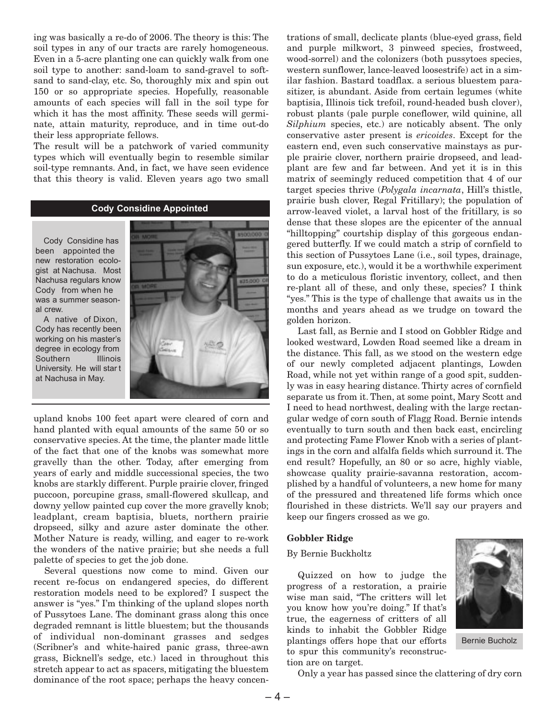ing was basically a re-do of 2006. The theory is this: The soil types in any of our tracts are rarely homogeneous. Even in a 5-acre planting one can quickly walk from one soil type to another: sand-loam to sand-gravel to softsand to sand-clay, etc. So, thoroughly mix and spin out 150 or so appropriate species. Hopefully, reasonable amounts of each species will fall in the soil type for which it has the most affinity. These seeds will germinate, attain maturity, reproduce, and in time out-do their less appropriate fellows.

The result will be a patchwork of varied community types which will eventually begin to resemble similar soil-type remnants. And, in fact, we have seen evidence that this theory is valid. Eleven years ago two small

#### **Cody Considine Appointed**

Cody Considine has been appointed the new restoration ecologist at Nachusa. Most Nachusa regulars know Cody from when he was a summer seasonal crew.

A native of Dixon, Cody has recently been working on his master's degree in ecology from Southern Illinois University. He will star t at Nachusa in May.



upland knobs 100 feet apart were cleared of corn and hand planted with equal amounts of the same 50 or so conservative species. At the time, the planter made little of the fact that one of the knobs was somewhat more gravelly than the other. Today, after emerging from years of early and middle successional species, the two knobs are starkly different. Purple prairie clover, fringed puccoon, porcupine grass, small-flowered skullcap, and downy yellow painted cup cover the more gravelly knob; leadplant, cream baptisia, bluets, northern prairie dropseed, silky and azure aster dominate the other. Mother Nature is ready, willing, and eager to re-work the wonders of the native prairie; but she needs a full palette of species to get the job done.

Several questions now come to mind. Given our recent re-focus on endangered species, do different restoration models need to be explored? I suspect the answer is "yes." I'm thinking of the upland slopes north of Pussytoes Lane. The dominant grass along this once degraded remnant is little bluestem; but the thousands of individual non-dominant grasses and sedges (Scribner's and white-haired panic grass, three-awn grass, Bicknell's sedge, etc.) laced in throughout this stretch appear to act as spacers, mitigating the bluestem dominance of the root space; perhaps the heavy concentrations of small, declicate plants (blue-eyed grass, field and purple milkwort, 3 pinweed species, frostweed, wood-sorrel) and the colonizers (both pussytoes species, western sunflower, lance-leaved loosestrife) act in a similar fashion. Bastard toadflax. a serious bluestem parasitizer, is abundant. Aside from certain legumes (white baptisia, Illinois tick trefoil, round-headed bush clover), robust plants (pale purple coneflower, wild quinine, all *Silphium* species, etc.) are noticably absent. The only conservative aster present is *ericoides*. Except for the eastern end, even such conservative mainstays as purple prairie clover, northern prairie dropseed, and leadplant are few and far between. And yet it is in this matrix of seemingly reduced competition that 4 of our target species thrive (*Polygala incarnata*, Hill's thistle, prairie bush clover, Regal Fritillary); the population of arrow-leaved violet, a larval host of the fritillary, is so dense that these slopes are the epicenter of the annual "hilltopping" courtship display of this gorgeous endangered butterfly. If we could match a strip of cornfield to this section of Pussytoes Lane (i.e., soil types, drainage, sun exposure, etc.), would it be a worthwhile experiment to do a meticulous floristic inventory, collect, and then re-plant all of these, and only these, species? I think "yes." This is the type of challenge that awaits us in the months and years ahead as we trudge on toward the golden horizon.

Last fall, as Bernie and I stood on Gobbler Ridge and looked westward, Lowden Road seemed like a dream in the distance. This fall, as we stood on the western edge of our newly completed adjacent plantings, Lowden Road, while not yet within range of a good spit, suddenly was in easy hearing distance. Thirty acres of cornfield separate us from it. Then, at some point, Mary Scott and I need to head northwest, dealing with the large rectangular wedge of corn south of Flagg Road. Bernie intends eventually to turn south and then back east, encircling and protecting Fame Flower Knob with a series of plantings in the corn and alfalfa fields which surround it. The end result? Hopefully, an 80 or so acre, highly viable, showcase quality prairie-savanna restoration, accomplished by a handful of volunteers, a new home for many of the pressured and threatened life forms which once flourished in these districts. We'll say our prayers and keep our fingers crossed as we go.

#### **Gobbler Ridge**

#### By Bernie Buckholtz

Quizzed on how to judge the progress of a restoration, a prairie wise man said, "The critters will let you know how you're doing." If that's true, the eagerness of critters of all kinds to inhabit the Gobbler Ridge plantings offers hope that our efforts to spur this community's reconstruction are on target.



Bernie Bucholz

Only a year has passed since the clattering of dry corn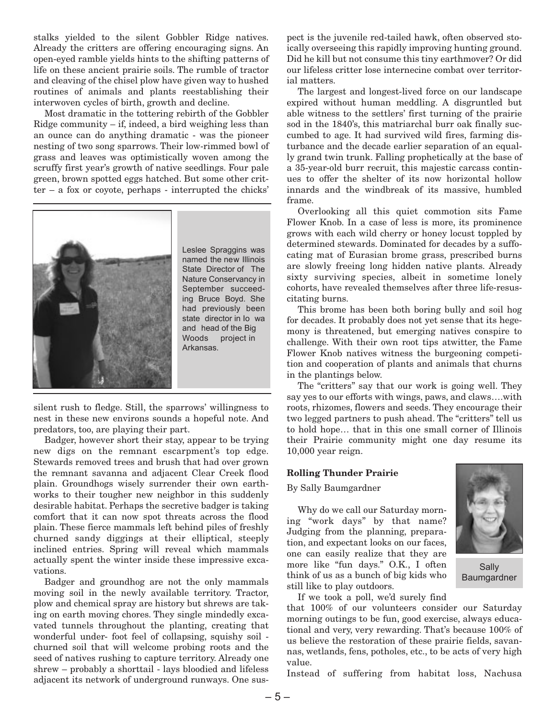stalks yielded to the silent Gobbler Ridge natives. Already the critters are offering encouraging signs. An open-eyed ramble yields hints to the shifting patterns of life on these ancient prairie soils. The rumble of tractor and cleaving of the chisel plow have given way to hushed routines of animals and plants reestablishing their interwoven cycles of birth, growth and decline.

Most dramatic in the tottering rebirth of the Gobbler Ridge community – if, indeed, a bird weighing less than an ounce can do anything dramatic - was the pioneer nesting of two song sparrows. Their low-rimmed bowl of grass and leaves was optimistically woven among the scruffy first year's growth of native seedlings. Four pale green, brown spotted eggs hatched. But some other critter – a fox or coyote, perhaps - interrupted the chicks'



named the new Illinois State Director of The Nature Conservancy in September succeeding Bruce Boyd. She had previously been state director in Io wa and head of the Big Woods project in

silent rush to fledge. Still, the sparrows' willingness to nest in these new environs sounds a hopeful note. And predators, too, are playing their part.

Badger, however short their stay, appear to be trying new digs on the remnant escarpment's top edge. Stewards removed trees and brush that had over grown the remnant savanna and adjacent Clear Creek flood plain. Groundhogs wisely surrender their own earthworks to their tougher new neighbor in this suddenly desirable habitat. Perhaps the secretive badger is taking comfort that it can now spot threats across the flood plain. These fierce mammals left behind piles of freshly churned sandy diggings at their elliptical, steeply inclined entries. Spring will reveal which mammals actually spent the winter inside these impressive excavations.

Badger and groundhog are not the only mammals moving soil in the newly available territory. Tractor, plow and chemical spray are history but shrews are taking on earth moving chores. They single mindedly excavated tunnels throughout the planting, creating that wonderful under- foot feel of collapsing, squishy soil churned soil that will welcome probing roots and the seed of natives rushing to capture territory. Already one shrew – probably a shorttail - lays bloodied and lifeless adjacent its network of underground runways. One suspect is the juvenile red-tailed hawk, often observed stoically overseeing this rapidly improving hunting ground. Did he kill but not consume this tiny earthmover? Or did our lifeless critter lose internecine combat over territorial matters.

The largest and longest-lived force on our landscape expired without human meddling. A disgruntled but able witness to the settlers' first turning of the prairie sod in the 1840's, this matriarchal burr oak finally succumbed to age. It had survived wild fires, farming disturbance and the decade earlier separation of an equally grand twin trunk. Falling prophetically at the base of a 35-year-old burr recruit, this majestic carcass continues to offer the shelter of its now horizontal hollow innards and the windbreak of its massive, humbled frame.

Overlooking all this quiet commotion sits Fame Flower Knob. In a case of less is more, its prominence grows with each wild cherry or honey locust toppled by determined stewards. Dominated for decades by a suffocating mat of Eurasian brome grass, prescribed burns are slowly freeing long hidden native plants. Already sixty surviving species, albeit in sometime lonely cohorts, have revealed themselves after three life-resuscitating burns.

This brome has been both boring bully and soil hog for decades. It probably does not yet sense that its hegemony is threatened, but emerging natives conspire to challenge. With their own root tips atwitter, the Fame Flower Knob natives witness the burgeoning competition and cooperation of plants and animals that churns in the plantings below.

The "critters" say that our work is going well. They say yes to our efforts with wings, paws, and claws….with roots, rhizomes, flowers and seeds. They encourage their two legged partners to push ahead. The "critters" tell us to hold hope… that in this one small corner of Illinois their Prairie community might one day resume its 10,000 year reign.

#### **Rolling Thunder Prairie**

By Sally Baumgardner

Why do we call our Saturday morning "work days" by that name? Judging from the planning, preparation, and expectant looks on our faces, one can easily realize that they are more like "fun days." O.K., I often think of us as a bunch of big kids who still like to play outdoors.



Sally Baumgardner

If we took a poll, we'd surely find

that 100% of our volunteers consider our Saturday morning outings to be fun, good exercise, always educational and very, very rewarding. That's because 100% of us believe the restoration of these prairie fields, savannas, wetlands, fens, potholes, etc., to be acts of very high value.

Instead of suffering from habitat loss, Nachusa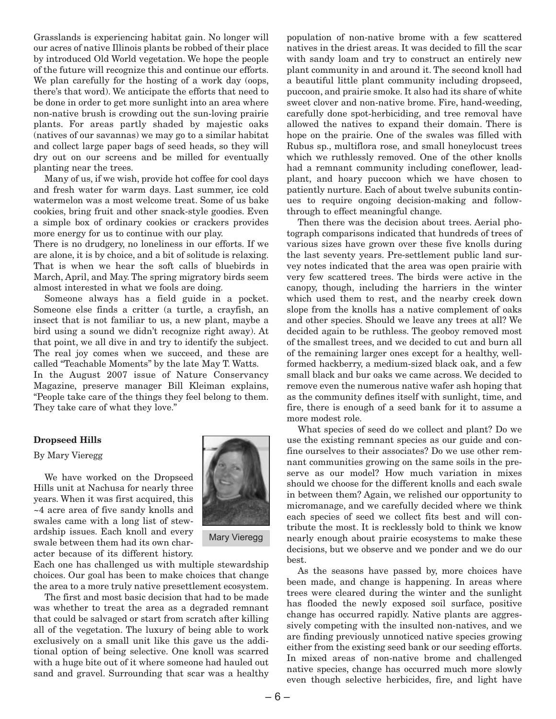Grasslands is experiencing habitat gain. No longer will our acres of native Illinois plants be robbed of their place by introduced Old World vegetation. We hope the people of the future will recognize this and continue our efforts. We plan carefully for the hosting of a work day (oops, there's that word). We anticipate the efforts that need to be done in order to get more sunlight into an area where non-native brush is crowding out the sun-loving prairie plants. For areas partly shaded by majestic oaks (natives of our savannas) we may go to a similar habitat and collect large paper bags of seed heads, so they will dry out on our screens and be milled for eventually planting near the trees.

Many of us, if we wish, provide hot coffee for cool days and fresh water for warm days. Last summer, ice cold watermelon was a most welcome treat. Some of us bake cookies, bring fruit and other snack-style goodies. Even a simple box of ordinary cookies or crackers provides more energy for us to continue with our play.

There is no drudgery, no loneliness in our efforts. If we are alone, it is by choice, and a bit of solitude is relaxing. That is when we hear the soft calls of bluebirds in March, April, and May. The spring migratory birds seem almost interested in what we fools are doing.

Someone always has a field guide in a pocket. Someone else finds a critter (a turtle, a crayfish, an insect that is not familiar to us, a new plant, maybe a bird using a sound we didn't recognize right away). At that point, we all dive in and try to identify the subject. The real joy comes when we succeed, and these are called "Teachable Moments" by the late May T. Watts.

In the August 2007 issue of Nature Conservancy Magazine, preserve manager Bill Kleiman explains, "People take care of the things they feel belong to them. They take care of what they love."

#### **Dropseed Hills**

#### By Mary Vieregg

We have worked on the Dropseed Hills unit at Nachusa for nearly three years. When it was first acquired, this ~4 acre area of five sandy knolls and swales came with a long list of stewardship issues. Each knoll and every swale between them had its own character because of its different history.



Mary Vieregg

Each one has challenged us with multiple stewardship choices. Our goal has been to make choices that change the area to a more truly native presettlement ecosystem.

The first and most basic decision that had to be made was whether to treat the area as a degraded remnant that could be salvaged or start from scratch after killing all of the vegetation. The luxury of being able to work exclusively on a small unit like this gave us the additional option of being selective. One knoll was scarred with a huge bite out of it where someone had hauled out sand and gravel. Surrounding that scar was a healthy

population of non-native brome with a few scattered natives in the driest areas. It was decided to fill the scar with sandy loam and try to construct an entirely new plant community in and around it. The second knoll had a beautiful little plant community including dropseed, puccoon, and prairie smoke. It also had its share of white sweet clover and non-native brome. Fire, hand-weeding, carefully done spot-herbiciding, and tree removal have allowed the natives to expand their domain. There is hope on the prairie. One of the swales was filled with Rubus sp., multiflora rose, and small honeylocust trees which we ruthlessly removed. One of the other knolls had a remnant community including coneflower, leadplant, and hoary puccoon which we have chosen to patiently nurture. Each of about twelve subunits continues to require ongoing decision-making and followthrough to effect meaningful change.

Then there was the decision about trees. Aerial photograph comparisons indicated that hundreds of trees of various sizes have grown over these five knolls during the last seventy years. Pre-settlement public land survey notes indicated that the area was open prairie with very few scattered trees. The birds were active in the canopy, though, including the harriers in the winter which used them to rest, and the nearby creek down slope from the knolls has a native complement of oaks and other species. Should we leave any trees at all? We decided again to be ruthless. The geoboy removed most of the smallest trees, and we decided to cut and burn all of the remaining larger ones except for a healthy, wellformed hackberry, a medium-sized black oak, and a few small black and bur oaks we came across. We decided to remove even the numerous native wafer ash hoping that as the community defines itself with sunlight, time, and fire, there is enough of a seed bank for it to assume a more modest role.

What species of seed do we collect and plant? Do we use the existing remnant species as our guide and confine ourselves to their associates? Do we use other remnant communities growing on the same soils in the preserve as our model? How much variation in mixes should we choose for the different knolls and each swale in between them? Again, we relished our opportunity to micromanage, and we carefully decided where we think each species of seed we collect fits best and will contribute the most. It is recklessly bold to think we know nearly enough about prairie ecosystems to make these decisions, but we observe and we ponder and we do our best.

As the seasons have passed by, more choices have been made, and change is happening. In areas where trees were cleared during the winter and the sunlight has flooded the newly exposed soil surface, positive change has occurred rapidly. Native plants are aggressively competing with the insulted non-natives, and we are finding previously unnoticed native species growing either from the existing seed bank or our seeding efforts. In mixed areas of non-native brome and challenged native species, change has occurred much more slowly even though selective herbicides, fire, and light have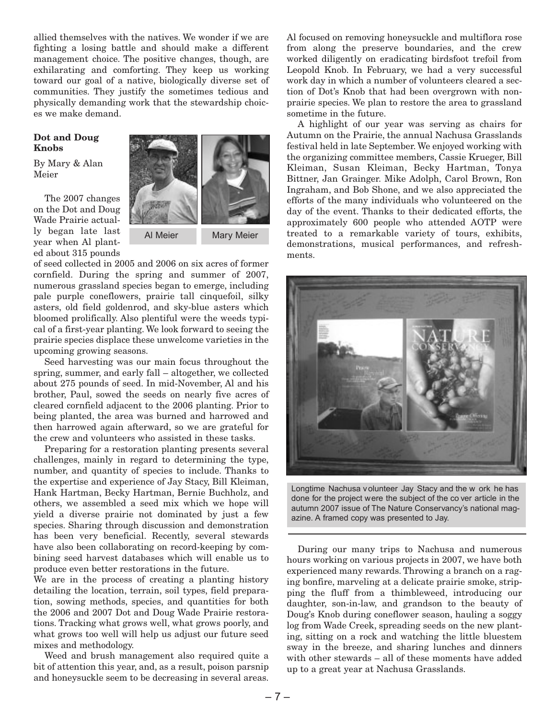allied themselves with the natives. We wonder if we are fighting a losing battle and should make a different management choice. The positive changes, though, are exhilarating and comforting. They keep us working toward our goal of a native, biologically diverse set of communities. They justify the sometimes tedious and physically demanding work that the stewardship choices we make demand.

#### **Dot and Doug Knobs**

By Mary & Alan Meier

The 2007 changes on the Dot and Doug Wade Prairie actually began late last year when Al planted about 315 pounds



Al Meier Mary Meier

of seed collected in 2005 and 2006 on six acres of former cornfield. During the spring and summer of 2007, numerous grassland species began to emerge, including pale purple coneflowers, prairie tall cinquefoil, silky asters, old field goldenrod, and sky-blue asters which bloomed prolifically. Also plentiful were the weeds typical of a first-year planting. We look forward to seeing the prairie species displace these unwelcome varieties in the upcoming growing seasons.

Seed harvesting was our main focus throughout the spring, summer, and early fall – altogether, we collected about 275 pounds of seed. In mid-November, Al and his brother, Paul, sowed the seeds on nearly five acres of cleared cornfield adjacent to the 2006 planting. Prior to being planted, the area was burned and harrowed and then harrowed again afterward, so we are grateful for the crew and volunteers who assisted in these tasks.

Preparing for a restoration planting presents several challenges, mainly in regard to determining the type, number, and quantity of species to include. Thanks to the expertise and experience of Jay Stacy, Bill Kleiman, Hank Hartman, Becky Hartman, Bernie Buchholz, and others, we assembled a seed mix which we hope will yield a diverse prairie not dominated by just a few species. Sharing through discussion and demonstration has been very beneficial. Recently, several stewards have also been collaborating on record-keeping by combining seed harvest databases which will enable us to produce even better restorations in the future.

We are in the process of creating a planting history detailing the location, terrain, soil types, field preparation, sowing methods, species, and quantities for both the 2006 and 2007 Dot and Doug Wade Prairie restorations. Tracking what grows well, what grows poorly, and what grows too well will help us adjust our future seed mixes and methodology.

Weed and brush management also required quite a bit of attention this year, and, as a result, poison parsnip and honeysuckle seem to be decreasing in several areas.

Al focused on removing honeysuckle and multiflora rose from along the preserve boundaries, and the crew worked diligently on eradicating birdsfoot trefoil from Leopold Knob. In February, we had a very successful work day in which a number of volunteers cleared a section of Dot's Knob that had been overgrown with nonprairie species. We plan to restore the area to grassland sometime in the future.

A highlight of our year was serving as chairs for Autumn on the Prairie, the annual Nachusa Grasslands festival held in late September. We enjoyed working with the organizing committee members, Cassie Krueger, Bill Kleiman, Susan Kleiman, Becky Hartman, Tonya Bittner, Jan Grainger. Mike Adolph, Carol Brown, Ron Ingraham, and Bob Shone, and we also appreciated the efforts of the many individuals who volunteered on the day of the event. Thanks to their dedicated efforts, the approximately 600 people who attended AOTP were treated to a remarkable variety of tours, exhibits, demonstrations, musical performances, and refreshments.



Longtime Nachusa volunteer Jay Stacy and the w ork he has done for the project were the subject of the co ver article in the autumn 2007 issue of The Nature Conservancy's national magazine. A framed copy was presented to Jay.

During our many trips to Nachusa and numerous hours working on various projects in 2007, we have both experienced many rewards. Throwing a branch on a raging bonfire, marveling at a delicate prairie smoke, stripping the fluff from a thimbleweed, introducing our daughter, son-in-law, and grandson to the beauty of Doug's Knob during coneflower season, hauling a soggy log from Wade Creek, spreading seeds on the new planting, sitting on a rock and watching the little bluestem sway in the breeze, and sharing lunches and dinners with other stewards – all of these moments have added up to a great year at Nachusa Grasslands.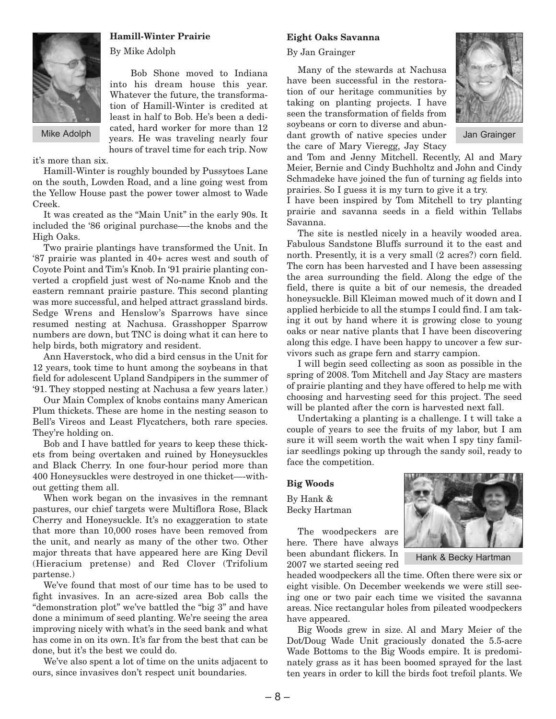

#### **Hamill-Winter Prairie**

By Mike Adolph

Mike Adolph was traveling nearly four dant growth of native species under Jan Grainger Bob Shone moved to Indiana into his dream house this year. Whatever the future, the transformation of Hamill-Winter is credited at least in half to Bob. He's been a dedicated, hard worker for more than 12 years. He was traveling nearly four hours of travel time for each trip. Now

it's more than six.

Hamill-Winter is roughly bounded by Pussytoes Lane on the south, Lowden Road, and a line going west from the Yellow House past the power tower almost to Wade Creek.

It was created as the "Main Unit" in the early 90s. It included the '86 original purchase—-the knobs and the High Oaks.

Two prairie plantings have transformed the Unit. In '87 prairie was planted in 40+ acres west and south of Coyote Point and Tim's Knob. In '91 prairie planting converted a cropfield just west of No-name Knob and the eastern remnant prairie pasture. This second planting was more successful, and helped attract grassland birds. Sedge Wrens and Henslow's Sparrows have since resumed nesting at Nachusa. Grasshopper Sparrow numbers are down, but TNC is doing what it can here to help birds, both migratory and resident.

Ann Haverstock, who did a bird census in the Unit for 12 years, took time to hunt among the soybeans in that field for adolescent Upland Sandpipers in the summer of '91. They stopped nesting at Nachusa a few years later.)

Our Main Complex of knobs contains many American Plum thickets. These are home in the nesting season to Bell's Vireos and Least Flycatchers, both rare species. They're holding on.

Bob and I have battled for years to keep these thickets from being overtaken and ruined by Honeysuckles and Black Cherry. In one four-hour period more than 400 Honeysuckles were destroyed in one thicket—-without getting them all.

When work began on the invasives in the remnant pastures, our chief targets were Multiflora Rose, Black Cherry and Honeysuckle. It's no exaggeration to state that more than 10,000 roses have been removed from the unit, and nearly as many of the other two. Other major threats that have appeared here are King Devil (Hieracium pretense) and Red Clover (Trifolium partense.)

We've found that most of our time has to be used to fight invasives. In an acre-sized area Bob calls the "demonstration plot" we've battled the "big 3" and have done a minimum of seed planting. We're seeing the area improving nicely with what's in the seed bank and what has come in on its own. It's far from the best that can be done, but it's the best we could do.

We've also spent a lot of time on the units adjacent to ours, since invasives don't respect unit boundaries.

#### **Eight Oaks Savanna**

#### By Jan Grainger

Many of the stewards at Nachusa have been successful in the restoration of our heritage communities by taking on planting projects. I have seen the transformation of fields from soybeans or corn to diverse and abunthe care of Mary Vieregg, Jay Stacy



and Tom and Jenny Mitchell. Recently, Al and Mary Meier, Bernie and Cindy Buchholtz and John and Cindy Schmadeke have joined the fun of turning ag fields into prairies. So I guess it is my turn to give it a try.

I have been inspired by Tom Mitchell to try planting prairie and savanna seeds in a field within Tellabs Savanna.

The site is nestled nicely in a heavily wooded area. Fabulous Sandstone Bluffs surround it to the east and north. Presently, it is a very small (2 acres?) corn field. The corn has been harvested and I have been assessing the area surrounding the field. Along the edge of the field, there is quite a bit of our nemesis, the dreaded honeysuckle. Bill Kleiman mowed much of it down and I applied herbicide to all the stumps I could find. I am taking it out by hand where it is growing close to young oaks or near native plants that I have been discovering along this edge. I have been happy to uncover a few survivors such as grape fern and starry campion.

I will begin seed collecting as soon as possible in the spring of 2008. Tom Mitchell and Jay Stacy are masters of prairie planting and they have offered to help me with choosing and harvesting seed for this project. The seed will be planted after the corn is harvested next fall.

Undertaking a planting is a challenge. I t will take a couple of years to see the fruits of my labor, but I am sure it will seem worth the wait when I spy tiny familiar seedlings poking up through the sandy soil, ready to face the competition.

#### **Big Woods**

By Hank & Becky Hartman

The woodpeckers are here. There have always been abundant flickers. In 2007 we started seeing red



Hank & Becky Hartman

headed woodpeckers all the time. Often there were six or eight visible. On December weekends we were still seeing one or two pair each time we visited the savanna areas. Nice rectangular holes from pileated woodpeckers have appeared.

Big Woods grew in size. Al and Mary Meier of the Dot/Doug Wade Unit graciously donated the 5.5-acre Wade Bottoms to the Big Woods empire. It is predominately grass as it has been boomed sprayed for the last ten years in order to kill the birds foot trefoil plants. We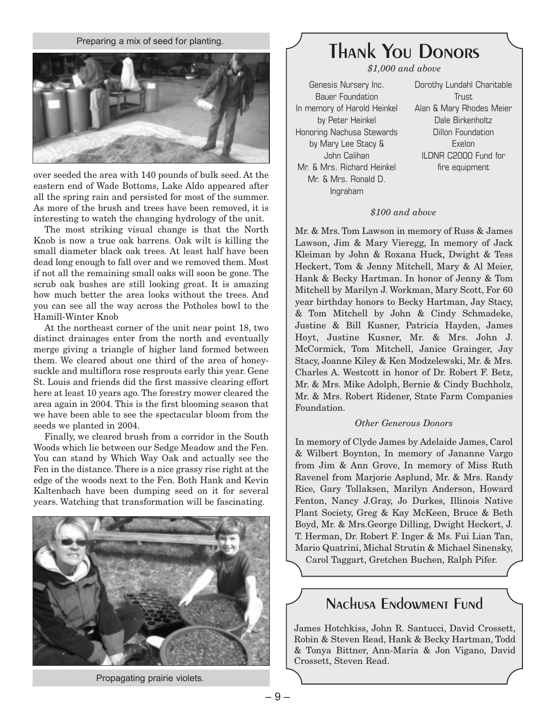#### Preparing a mix of seed for planting.



over seeded the area with 140 pounds of bulk seed. At the eastern end of Wade Bottoms, Lake Aldo appeared after all the spring rain and persisted for most of the summer. As more of the brush and trees have been removed, it is interesting to watch the changing hydrology of the unit.

The most striking visual change is that the North Knob is now a true oak barrens. Oak wilt is killing the small diameter black oak trees. At least half have been dead long enough to fall over and we removed them. Most if not all the remaining small oaks will soon be gone. The scrub oak bushes are still looking great. It is amazing how much better the area looks without the trees. And you can see all the way across the Potholes bowl to the Hamill-Winter Knob

At the northeast corner of the unit near point 18, two distinct drainages enter from the north and eventually merge giving a triangle of higher land formed between them. We cleared about one third of the area of honeysuckle and multiflora rose resprouts early this year. Gene St. Louis and friends did the first massive clearing effort here at least 10 years ago. The forestry mower cleared the area again in 2004. This is the first blooming season that we have been able to see the spectacular bloom from the seeds we planted in 2004.

Finally, we cleared brush from a corridor in the South Woods which lie between our Sedge Meadow and the Fen. You can stand by Which Way Oak and actually see the Fen in the distance. There is a nice grassy rise right at the edge of the woods next to the Fen. Both Hank and Kevin Kaltenbach have been dumping seed on it for several years. Watching that transformation will be fascinating.



Propagating prairie violets.

## Thank You Donors

*\$1,000 and above*

Genesis Nursery Inc. Bauer Foundation In memory of Harold Heinkel by Peter Heinkel Honoring Nachusa Stewards by Mary Lee Stacy & John Calihan Mr. & Mrs. Richard Heinkel Mr. & Mrs. Ronald D. Ingraham

Dorothy Lundahl Charitable **Trust** Alan & Mary Rhodes Meier Dale Birkenholtz Dillon Foundation Exelon ILDNR C2000 Fund for fire equipment

#### *\$100 and above*

Mr. & Mrs. Tom Lawson in memory of Russ & James Lawson, Jim & Mary Vieregg, In memory of Jack Kleiman by John & Roxana Huck, Dwight & Tess Heckert, Tom & Jenny Mitchell, Mary & Al Meier, Hank & Becky Hartman. In honor of Jenny & Tom Mitchell by Marilyn J. Workman, Mary Scott, For 60 year birthday honors to Becky Hartman, Jay Stacy, & Tom Mitchell by John & Cindy Schmadeke, Justine & Bill Kusner, Patricia Hayden, James Hoyt, Justine Kusner, Mr. & Mrs. John J. McCormick, Tom Mitchell, Janice Grainger, Jay Stacy, Joanne Kiley & Ken Modzelewski, Mr. & Mrs. Charles A. Westcott in honor of Dr. Robert F. Betz, Mr. & Mrs. Mike Adolph, Bernie & Cindy Buchholz, Mr. & Mrs. Robert Ridener, State Farm Companies Foundation.

#### *Other Generous Donors*

In memory of Clyde James by Adelaide James, Carol & Wilbert Boynton, In memory of Jananne Vargo from Jim & Ann Grove, In memory of Miss Ruth Ravenel from Marjorie Asplund, Mr. & Mrs. Randy Rice, Gary Tollaksen, Marilyn Anderson, Howard Fenton, Nancy J.Gray, Jo Durkes, Illinois Native Plant Society, Greg & Kay McKeen, Bruce & Beth Boyd, Mr. & Mrs.George Dilling, Dwight Heckert, J. T. Herman, Dr. Robert F. Inger & Ms. Fui Lian Tan, Mario Quatrini, Michal Strutin & Michael Sinensky, Carol Taggart, Gretchen Buchen, Ralph Pifer.

## Nachusa Endowment Fund

James Hotchkiss, John R. Santucci, David Crossett, Robin & Steven Read, Hank & Becky Hartman, Todd & Tonya Bittner, Ann-Maria & Jon Vigano, David Crossett, Steven Read.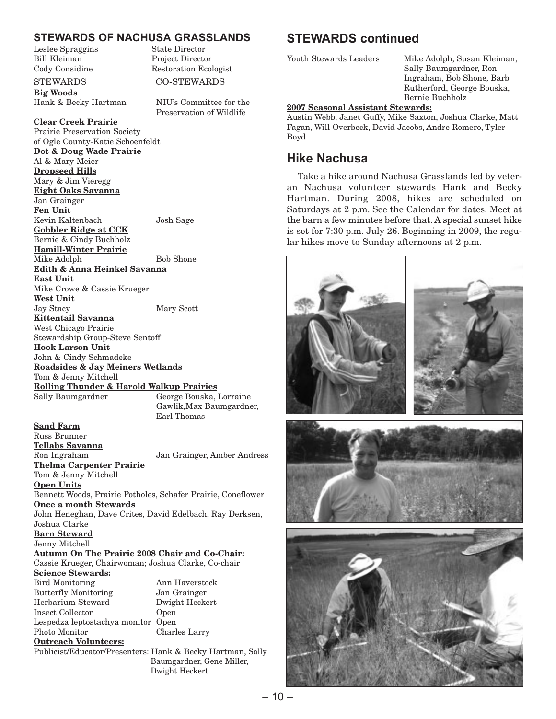## **STEWARDS OF NACHUSA GRASSLANDS**<br>Leslee Spraggins State Director

Leslee Spraggins Bill Kleiman Project Director

Cody Considine Restoration Ecologist

#### STEWARDS CO-STEWARDS

**Big Woods** Hank & Becky Hartman NIU's Committee for the

Preservation of Wildlife

#### **Clear Creek Prairie**

Prairie Preservation Society of Ogle County-Katie Schoenfeldt **Dot & Doug Wade Prairie** Al & Mary Meier **Dropseed Hills** Mary & Jim Vieregg **Eight Oaks Savanna** Jan Grainger **Fen Unit** Kevin Kaltenbach Josh Sage **Gobbler Ridge at CCK** Bernie & Cindy Buchholz **Hamill-Winter Prairie** Mike Adolph Bob Shone **Edith & Anna Heinkel Savanna East Unit** Mike Crowe & Cassie Krueger **West Unit** Jay Stacy Mary Scott **Kittentail Savanna** West Chicago Prairie Stewardship Group-Steve Sentoff **Hook Larson Unit** John & Cindy Schmadeke **Roadsides & Jay Meiners Wetlands** Tom & Jenny Mitchell **Rolling Thunder & Harold Walkup Prairies** Sally Baumgardner George Bouska, Lorraine Gawlik,Max Baumgardner, Earl Thomas

#### **Sand Farm**

Russ Brunner **Tellabs Savanna** Ron Ingraham Jan Grainger, Amber Andress **Thelma Carpenter Prairie** Tom & Jenny Mitchell **Open Units** Bennett Woods, Prairie Potholes, Schafer Prairie, Coneflower **Once a month Stewards** John Heneghan, Dave Crites, David Edelbach, Ray Derksen, Joshua Clarke **Barn Steward** Jenny Mitchell **Autumn On The Prairie 2008 Chair and Co-Chair:** Cassie Krueger, Chairwoman; Joshua Clarke, Co-chair **Science Stewards:** Bird Monitoring Ann Haverstock Butterfly Monitoring Jan Grainger Herbarium Steward Dwight Heckert Insect Collector Open Lespedza leptostachya monitor Open Charles Larry **Outreach Volunteers:**

Publicist/Educator/Presenters: Hank & Becky Hartman, Sally Baumgardner, Gene Miller, Dwight Heckert

### **STEWARDS continued**

Youth Stewards Leaders Mike Adolph, Susan Kleiman,

Sally Baumgardner, Ron Ingraham, Bob Shone, Barb Rutherford, George Bouska, Bernie Buchholz

#### **2007 Seasonal Assistant Stewards:**

Austin Webb, Janet Guffy, Mike Saxton, Joshua Clarke, Matt Fagan, Will Overbeck, David Jacobs, Andre Romero, Tyler Boyd

#### **Hike Nachusa**

Take a hike around Nachusa Grasslands led by veteran Nachusa volunteer stewards Hank and Becky Hartman. During 2008, hikes are scheduled on Saturdays at 2 p.m. See the Calendar for dates. Meet at the barn a few minutes before that. A special sunset hike is set for 7:30 p.m. July 26. Beginning in 2009, the regular hikes move to Sunday afternoons at 2 p.m.

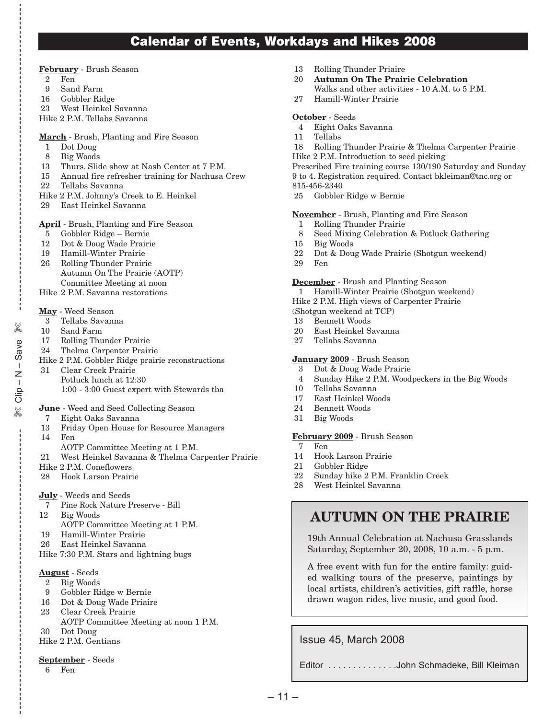## **Calendar of Events, Workdays and Hikes 2008**

- **February** Brush Season
- 2 Fen
- 9 Sand Farm
- 16 Gobbler Ridge
- 23 West Heinkel Savanna
- Hike 2 P.M. Tellabs Savanna

#### **March** - Brush, Planting and Fire Season

- 1 Dot Doug
- 8 Big Woods
- 13 Thurs. Slide show at Nash Center at 7 P.M.
- 15 Annual fire refresher training for Nachusa Crew
- 22 Tellabs Savanna
- Hike 2 P.M. Johnny's Creek to E. Heinkel
- 29 East Heinkel Savanna

#### **April** - Brush, Planting and Fire Season

- 
- 5 Gobbler Ridge Bernie Dot & Doug Wade Prairie
- 19 Hamill-Winter Prairie
- 26 Rolling Thunder Prairie Autumn On The Prairie (AOTP) Committee Meeting at noon
- Hike 2 P.M. Savanna restorations

#### **May** - Weed Season

- 3 Tellabs Savanna
- 10 Sand Farm
- 17 Rolling Thunder Prairie
- 24 Thelma Carpenter Prairie
- Hike 2 P.M. Gobbler Ridge prairie reconstructions
- 31 Clear Creek Prairie Potluck lunch at 12:30 1:00 - 3:00 Guest expert with Stewards tba
- **June** Weed and Seed Collecting Season
- 7 Eight Oaks Savanna
- 13 Friday Open House for Resource Managers
- 14 Fen

✄

e<br>%<br>%<br>%

✄

- AOTP Committee Meeting at 1 P.M.
- 21 West Heinkel Savanna & Thelma Carpenter Prairie
- Hike 2 P.M. Coneflowers
- 28 Hook Larson Prairie
- **July** Weeds and Seeds
- 7 Pine Rock Nature Preserve Bill
- 12 Big Woods
- AOTP Committee Meeting at 1 P.M.
- 19 Hamill-Winter Prairie
- 26 East Heinkel Savanna
- Hike 7:30 P.M. Stars and lightning bugs

#### **August** - Seeds

- 2 Big Woods
- 9 Gobbler Ridge w Bernie
- 16 Dot & Doug Wade Priaire
- 23 Clear Creek Prairie
- AOTP Committee Meeting at noon 1 P.M. 30 Dot Doug
- Hike 2 P.M. Gentians
- **September** Seeds
- 6 Fen
- 13 Rolling Thunder Priaire
- 20 **Autumn On The Prairie Celebration** Walks and other activities - 10 A.M. to 5 P.M.
- 27 Hamill-Winter Prairie

#### **October** - Seeds

- 4 Eight Oaks Savanna
- 11 Tellabs
- 18 Rolling Thunder Prairie & Thelma Carpenter Prairie
- Hike 2 P.M. Introduction to seed picking

Prescribed Fire training course 130/190 Saturday and Sunday 9 to 4. Registration required. Contact bkleiman@tnc.org or 815-456-2340

25 Gobbler Ridge w Bernie

#### **November** - Brush, Planting and Fire Season

- 1 Rolling Thunder Prairie
- 8 Seed Mixing Celebration & Potluck Gathering
- 15 Big Woods
- 22 Dot & Doug Wade Prairie (Shotgun weekend)
- Fen

#### **December** - Brush and Planting Season

- 1 Hamill-Winter Prairie (Shotgun weekend)
- Hike 2 P.M. High views of Carpenter Prairie
- (Shotgun weekend at TCP)
- 13 Bennett Woods
- 20 East Heinkel Savanna
- 27 Tellabs Savanna

#### **January 2009** - Brush Season

- 3 Dot & Doug Wade Prairie
- 4 Sunday Hike 2 P.M. Woodpeckers in the Big Woods
- 10 Tellabs Savanna
- 17 East Heinkel Woods
- 24 Bennett Woods
- 31 Big Woods

#### **February 2009** - Brush Season

- 7 Fen
- 14 Hook Larson Prairie
- 21 Gobbler Ridge<br>22 Sunday hike 2
- 22 Sunday hike 2 P.M. Franklin Creek<br>28 West Heinkel Savanna
- West Heinkel Savanna

## **AUTUMN ON THE PRAIRIE**

19th Annual Celebration at Nachusa Grasslands Saturday, September 20, 2008, 10 a.m. - 5 p.m.

A free event with fun for the entire family: guided walking tours of the preserve, paintings by local artists, children's activities, gift raffle, horse drawn wagon rides, live music, and good food.

Issue 45, March 2008

Editor . . . . . . . . . . . . . .John Schmadeke, Bill Kleiman